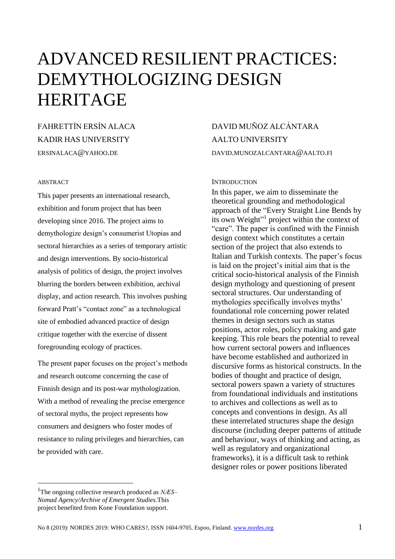# ADVANCED RESILIENT PRACTICES: DEMYTHOLOGIZING DESIGN HERITAGE

FAHRETTİN ERSİN ALACA KADIR HAS UNIVERSITY ERSINALACA@YAHOO.DE

#### ABSTRACT

This paper presents an international research, exhibition and forum project that has been developing since 2016. The project aims to demythologize design's consumerist Utopias and sectoral hierarchies as a series of temporary artistic and design interventions. By socio-historical analysis of politics of design, the project involves blurring the borders between exhibition, archival display, and action research. This involves pushing forward Pratt's "contact zone" as a technological site of embodied advanced practice of design critique together with the exercise of dissent foregrounding ecology of practices.

The present paper focuses on the project's methods and research outcome concerning the case of Finnish design and its post-war mythologization. With a method of revealing the precise emergence of sectoral myths, the project represents how consumers and designers who foster modes of resistance to ruling privileges and hierarchies, can be provided with care.

## DAVID MUÑOZ ALCÁNTARA AALTO UNIVERSITY DAVID.MUNOZALCANTARA@AALTO.FI

#### **INTRODUCTION**

In this paper, we aim to disseminate the theoretical grounding and methodological approach of the "Every Straight Line Bends by its own Weight"<sup>1</sup> project within the context of "care". The paper is confined with the Finnish design context which constitutes a certain section of the project that also extends to Italian and Turkish contexts. The paper's focus is laid on the project's initial aim that is the critical socio-historical analysis of the Finnish design mythology and questioning of present sectoral structures. Our understanding of mythologies specifically involves myths' foundational role concerning power related themes in design sectors such as status positions, actor roles, policy making and gate keeping. This role bears the potential to reveal how current sectoral powers and influences have become established and authorized in discursive forms as historical constructs. In the bodies of thought and practice of design, sectoral powers spawn a variety of structures from foundational individuals and institutions to archives and collections as well as to concepts and conventions in design. As all these interrelated structures shape the design discourse (including deeper patterns of attitude and behaviour, ways of thinking and acting, as well as regulatory and organizational frameworks), it is a difficult task to rethink designer roles or power positions liberated

<sup>1</sup>The ongoing collective research produced as *NÆS– Nomad Agency/Archive of Emergent Studies.*This project benefited from Kone Foundation support.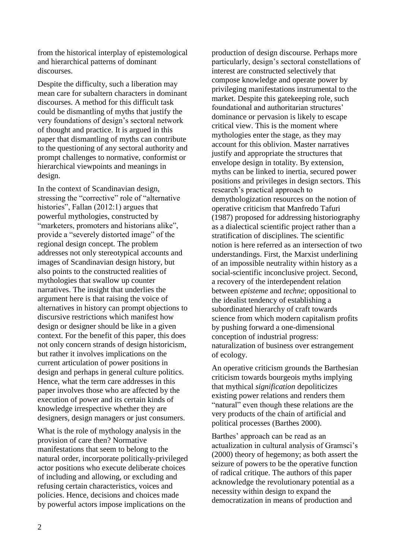from the historical interplay of epistemological and hierarchical patterns of dominant discourses.

Despite the difficulty, such a liberation may mean care for subaltern characters in dominant discourses. A method for this difficult task could be dismantling of myths that justify the very foundations of design's sectoral network of thought and practice. It is argued in this paper that dismantling of myths can contribute to the questioning of any sectoral authority and prompt challenges to normative, conformist or hierarchical viewpoints and meanings in design.

In the context of Scandinavian design, stressing the "corrective" role of "alternative histories", Fallan (2012:1) argues that powerful mythologies, constructed by "marketers, promoters and historians alike", provide a "severely distorted image" of the regional design concept. The problem addresses not only stereotypical accounts and images of Scandinavian design history, but also points to the constructed realities of mythologies that swallow up counter narratives. The insight that underlies the argument here is that raising the voice of alternatives in history can prompt objections to discursive restrictions which manifest how design or designer should be like in a given context. For the benefit of this paper, this does not only concern strands of design historicism, but rather it involves implications on the current articulation of power positions in design and perhaps in general culture politics. Hence, what the term care addresses in this paper involves those who are affected by the execution of power and its certain kinds of knowledge irrespective whether they are designers, design managers or just consumers.

What is the role of mythology analysis in the provision of care then? Normative manifestations that seem to belong to the natural order, incorporate politically-privileged actor positions who execute deliberate choices of including and allowing, or excluding and refusing certain characteristics, voices and policies. Hence, decisions and choices made by powerful actors impose implications on the

production of design discourse. Perhaps more particularly, design's sectoral constellations of interest are constructed selectively that compose knowledge and operate power by privileging manifestations instrumental to the market. Despite this gatekeeping role, such foundational and authoritarian structures' dominance or pervasion is likely to escape critical view. This is the moment where mythologies enter the stage, as they may account for this oblivion. Master narratives justify and appropriate the structures that envelope design in totality. By extension, myths can be linked to inertia, secured power positions and privileges in design sectors. This research's practical approach to demythologization resources on the notion of operative criticism that Manfredo Tafuri (1987) proposed for addressing historiography as a dialectical scientific project rather than a stratification of disciplines. The scientific notion is here referred as an intersection of two understandings. First, the Marxist underlining of an impossible neutrality within history as a social-scientific inconclusive project. Second, a recovery of the interdependent relation between *episteme* and *techne*; oppositional to the idealist tendency of establishing a subordinated hierarchy of craft towards science from which modern capitalism profits by pushing forward a one-dimensional conception of industrial progress: naturalization of business over estrangement of ecology.

An operative criticism grounds the Barthesian criticism towards bourgeois myths implying that mythical *signification* depoliticizes existing power relations and renders them "natural" even though these relations are the very products of the chain of artificial and political processes (Barthes 2000).

Barthes' approach can be read as an actualization in cultural analysis of Gramsci's (2000) theory of hegemony; as both assert the seizure of powers to be the operative function of radical critique. The authors of this paper acknowledge the revolutionary potential as a necessity within design to expand the democratization in means of production and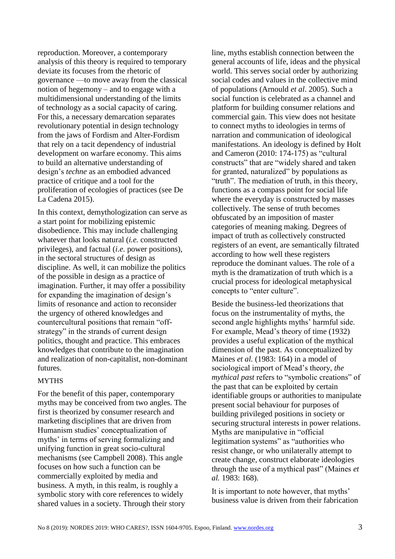reproduction. Moreover, a contemporary analysis of this theory is required to temporary deviate its focuses from the rhetoric of governance —to move away from the classical notion of hegemony – and to engage with a multidimensional understanding of the limits of technology as a social capacity of caring. For this, a necessary demarcation separates revolutionary potential in design technology from the jaws of Fordism and Alter-Fordism that rely on a tacit dependency of industrial development on warfare economy. This aims to build an alternative understanding of design's *techne* as an embodied advanced practice of critique and a tool for the proliferation of ecologies of practices (see De La Cadena 2015).

In this context, demythologization can serve as a start point for mobilizing epistemic disobedience. This may include challenging whatever that looks natural (*i.e.* constructed privileges), and factual (*i.e.* power positions), in the sectoral structures of design as discipline. As well, it can mobilize the politics of the possible in design as a practice of imagination. Further, it may offer a possibility for expanding the imagination of design's limits of resonance and action to reconsider the urgency of othered knowledges and countercultural positions that remain "offstrategy" in the strands of current design politics, thought and practice. This embraces knowledges that contribute to the imagination and realization of non-capitalist, non-dominant futures.

#### **MYTHS**

For the benefit of this paper, contemporary myths may be conceived from two angles. The first is theorized by consumer research and marketing disciplines that are driven from Humanism studies' conceptualization of myths' in terms of serving formalizing and unifying function in great socio-cultural mechanisms (see Campbell 2008). This angle focuses on how such a function can be commercially exploited by media and business. A myth, in this realm, is roughly a symbolic story with core references to widely shared values in a society. Through their story

line, myths establish connection between the general accounts of life, ideas and the physical world. This serves social order by authorizing social codes and values in the collective mind of populations (Arnould *et al*. 2005). Such a social function is celebrated as a channel and platform for building consumer relations and commercial gain. This view does not hesitate to connect myths to ideologies in terms of narration and communication of ideological manifestations. An ideology is defined by Holt and Cameron (2010: 174-175) as "cultural constructs" that are "widely shared and taken for granted, naturalized" by populations as "truth". The mediation of truth, in this theory, functions as a compass point for social life where the everyday is constructed by masses collectively. The sense of truth becomes obfuscated by an imposition of master categories of meaning making. Degrees of impact of truth as collectively constructed registers of an event, are semantically filtrated according to how well these registers reproduce the dominant values. The role of a myth is the dramatization of truth which is a crucial process for ideological metaphysical concepts to "enter culture".

Beside the business-led theorizations that focus on the instrumentality of myths, the second angle highlights myths' harmful side. For example, Mead's theory of time (1932) provides a useful explication of the mythical dimension of the past. As conceptualized by Maines *et al.* (1983: 164) in a model of sociological import of Mead's theory, *the mythical past* refers to "symbolic creations" of the past that can be exploited by certain identifiable groups or authorities to manipulate present social behaviour for purposes of building privileged positions in society or securing structural interests in power relations. Myths are manipulative in "official legitimation systems" as "authorities who resist change, or who unilaterally attempt to create change, construct elaborate ideologies through the use of a mythical past" (Maines *et al.* 1983: 168).

It is important to note however, that myths' business value is driven from their fabrication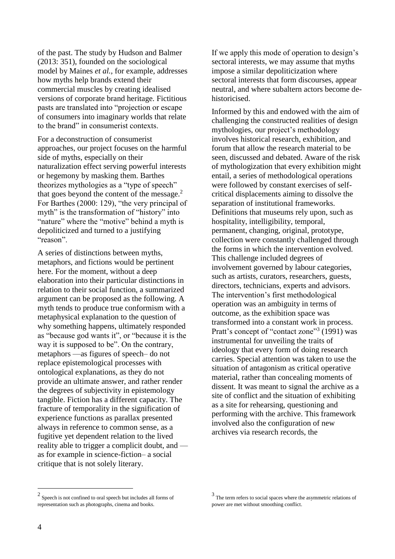of the past. The study by Hudson and Balmer (2013: 351), founded on the sociological model by Maines *et al.,* for example, addresses how myths help brands extend their commercial muscles by creating idealised versions of corporate brand heritage. Fictitious pasts are translated into "projection or escape of consumers into imaginary worlds that relate to the brand" in consumerist contexts.

For a deconstruction of consumerist approaches, our project focuses on the harmful side of myths, especially on their naturalization effect serving powerful interests or hegemony by masking them. Barthes theorizes mythologies as a "type of speech" that goes beyond the content of the message.<sup>2</sup> For Barthes (2000: 129), "the very principal of myth" is the transformation of "history" into "nature" where the "motive" behind a myth is depoliticized and turned to a justifying "reason".

A series of distinctions between myths, metaphors, and fictions would be pertinent here. For the moment, without a deep elaboration into their particular distinctions in relation to their social function, a summarized argument can be proposed as the following. A myth tends to produce true conformism with a metaphysical explanation to the question of why something happens, ultimately responded as "because god wants it", or "because it is the way it is supposed to be". On the contrary, metaphors —as figures of speech– do not replace epistemological processes with ontological explanations, as they do not provide an ultimate answer, and rather render the degrees of subjectivity in epistemology tangible. Fiction has a different capacity. The fracture of temporality in the signification of experience functions as parallax presented always in reference to common sense, as a fugitive yet dependent relation to the lived reality able to trigger a complicit doubt, and as for example in science-fiction– a social critique that is not solely literary.

If we apply this mode of operation to design's sectoral interests, we may assume that myths impose a similar depoliticization where sectoral interests that form discourses, appear neutral, and where subaltern actors become dehistoricised.

Informed by this and endowed with the aim of challenging the constructed realities of design mythologies, our project's methodology involves historical research, exhibition, and forum that allow the research material to be seen, discussed and debated. Aware of the risk of mythologization that every exhibition might entail, a series of methodological operations were followed by constant exercises of selfcritical displacements aiming to dissolve the separation of institutional frameworks. Definitions that museums rely upon, such as hospitality, intelligibility, temporal, permanent, changing, original, prototype, collection were constantly challenged through the forms in which the intervention evolved. This challenge included degrees of involvement governed by labour categories, such as artists, curators, researchers, guests, directors, technicians, experts and advisors. The intervention's first methodological operation was an ambiguity in terms of outcome, as the exhibition space was transformed into a constant work in process. Pratt's concept of "contact zone"<sup>3</sup> (1991) was instrumental for unveiling the traits of ideology that every form of doing research carries. Special attention was taken to use the situation of antagonism as critical operative material, rather than concealing moments of dissent. It was meant to signal the archive as a site of conflict and the situation of exhibiting as a site for rehearsing, questioning and performing with the archive. This framework involved also the configuration of new archives via research records, the

<sup>&</sup>lt;sup>2</sup> Speech is not confined to oral speech but includes all forms of representation such as photographs, cinema and books.

<sup>&</sup>lt;sup>3</sup> The term refers to social spaces where the asymmetric relations of power are met without smoothing conflict.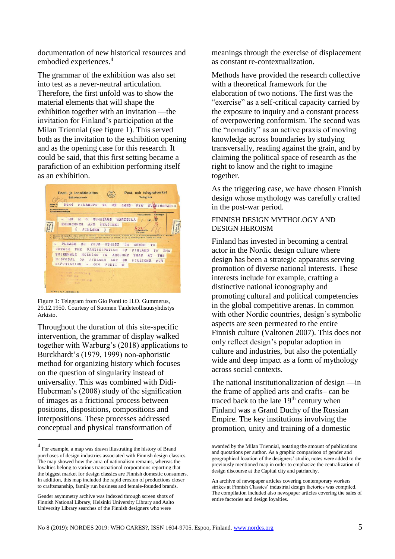documentation of new historical resources and embodied experiences.<sup>4</sup>

The grammar of the exhibition was also set into test as a never-neutral articulation. Therefore, the first unfold was to show the material elements that will shape the exhibition together with an invitation —the invitation for Finland's participation at the Milan Triennial (see figure 1). This served both as the invitation to the exhibition opening and as the opening case for this research. It could be said, that this first setting became a parafiction of an exhibition performing itself as an exhibition.



Figure 1: Telegram from Gio Ponti to H.O. Gummerus, 29.12.1950. Courtesy of Suomen Taideteollisuusyhdistys Arkisto.

Throughout the duration of this site-specific intervention, the grammar of display walked together with Warburg's (2018) applications to Burckhardt's (1979, 1999) non-aphoristic method for organizing history which focuses on the question of singularity instead of universality. This was combined with Didi-Huberman's (2008) study of the signification of images as a frictional process between positions, dispositions, compositions and interpositions. These processes addressed conceptual and physical transformation of

 $\overline{a}$ 

meanings through the exercise of displacement as constant re-contextualization.

Methods have provided the research collective with a theoretical framework for the elaboration of two notions. The first was the "exercise" as a self-critical capacity carried by the exposure to inquiry and a constant process of overpowering conformism. The second was the "nomadity" as an active praxis of moving knowledge across boundaries by studying transversally, reading against the grain, and by claiming the political space of research as the right to know and the right to imagine together.

As the triggering case, we have chosen Finnish design whose mythology was carefully crafted in the post-war period.

#### FINNISH DESIGN MYTHOLOGY AND DESIGN HEROISM

Finland has invested in becoming a central actor in the Nordic design culture where design has been a strategic apparatus serving promotion of diverse national interests. These interests include for example, crafting a distinctive national iconography and promoting cultural and political competencies in the global competitive arenas. In common with other Nordic countries, design's symbolic aspects are seen permeated to the entire Finnish culture (Valtonen 2007). This does not only reflect design's popular adoption in culture and industries, but also the potentially wide and deep impact as a form of mythology across social contexts.

The national institutionalization of design —in the frame of applied arts and crafts– can be traced back to the late  $19<sup>th</sup>$  century when Finland was a Grand Duchy of the Russian Empire. The key institutions involving the promotion, unity and training of a domestic

<sup>4</sup> For example, a map was drawn illustrating the history of Brand purchases of design industries associated with Finnish design classics. The map showed how the aura of nationalism remains, whereas the loyalties belong to various transnational corporations reporting that the biggest market for design classics are Finnish domestic consumers. In addition, this map included the rapid erosion of productions closer to craftsmanship, family run business and female-founded brands.

Gender asymmetry archive was indexed through screen shots of Finnish National Library, Helsinki University Library and Aalto University Library searches of the Finnish designers who were

awarded by the Milan Triennial, notating the amount of publications and quotations per author. As a graphic comparison of gender and geographical location of the designers' studio, notes were added to the previously mentioned map in order to emphasize the centralization of design discourse at the Capital city and patriarchy.

An archive of newspaper articles covering contemporary workers strikes at Finnish Classics' industrial design factories was compiled. The compilation included also newspaper articles covering the sales of entire factories and design loyalties.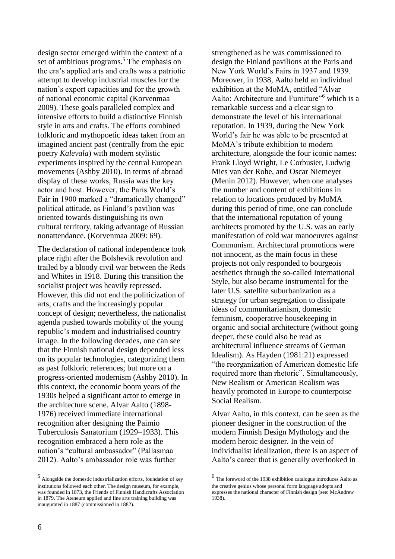design sector emerged within the context of a set of ambitious programs.<sup>5</sup> The emphasis on the era's applied arts and crafts was a patriotic attempt to develop industrial muscles for the nation's export capacities and for the growth of national economic capital (Korvenmaa 2009). These goals paralleled complex and intensive efforts to build a distinctive Finnish style in arts and crafts. The efforts combined folkloric and mythopoetic ideas taken from an imagined ancient past (centrally from the epic poetry *Kalevala*) with modern stylistic experiments inspired by the central European movements (Ashby 2010). In terms of abroad display of these works, Russia was the key actor and host. However, the Paris World's Fair in 1900 marked a "dramatically changed" political attitude, as Finland's pavilion was oriented towards distinguishing its own cultural territory, taking advantage of Russian nonattendance. (Korvenmaa 2009: 69).

The declaration of national independence took place right after the Bolshevik revolution and trailed by a bloody civil war between the Reds and Whites in 1918. During this transition the socialist project was heavily repressed. However, this did not end the politicization of arts, crafts and the increasingly popular concept of design; nevertheless, the nationalist agenda pushed towards mobility of the young republic's modern and industrialised country image. In the following decades, one can see that the Finnish national design depended less on its popular technologies, categorizing them as past folkloric references; but more on a progress-oriented modernism (Ashby 2010). In this context, the economic boom years of the 1930s helped a significant actor to emerge in the architecture scene. Alvar Aalto (1898- 1976) received immediate international recognition after designing the Paimio Tuberculosis Sanatorium (1929–1933). This recognition embraced a hero role as the nation's "cultural ambassador" (Pallasmaa 2012). Aalto's ambassador role was further

5 Alongside the domestic industrialization efforts, foundation of key institutions followed each other. The design museum, for example, was founded in 1873, the Friends of Finnish Handicrafts Association in 1879. The Ateneum applied and fine arts training building was inaugurated in 1887 (commissioned in 1882).

strengthened as he was commissioned to design the Finland pavilions at the Paris and New York World's Fairs in 1937 and 1939. Moreover, in 1938, Aalto held an individual exhibition at the MoMA, entitled "Alvar Aalto: Architecture and Furniture"<sup>6</sup> which is a remarkable success and a clear sign to demonstrate the level of his international reputation. In 1939, during the New York World's fair he was able to be presented at MoMA's tribute exhibition to modern architecture, alongside the four iconic names: Frank Lloyd Wright, Le Corbusier, Ludwig Mies van der Rohe, and Oscar Niemeyer (Menin 2012). However, when one analyses the number and content of exhibitions in relation to locations produced by MoMA during this period of time, one can conclude that the international reputation of young architects promoted by the U.S. was an early manifestation of cold war manoeuvres against Communism. Architectural promotions were not innocent, as the main focus in these projects not only responded to bourgeois aesthetics through the so-called International Style, but also became instrumental for the later U.S. satellite suburbanization as a strategy for urban segregation to dissipate ideas of communitarianism, domestic feminism, cooperative housekeeping in organic and social architecture (without going deeper, these could also be read as architectural influence streams of German Idealism). As Hayden (1981:21) expressed "the reorganization of American domestic life required more than rhetoric". Simultaneously, New Realism or American Realism was heavily promoted in Europe to counterpoise Social Realism.

Alvar Aalto, in this context, can be seen as the pioneer designer in the construction of the modern Finnish Design Mythology and the modern heroic designer. In the vein of individualist idealization, there is an aspect of Aalto's career that is generally overlooked in

<sup>6</sup> The foreword of the 1938 exhibition catalogue introduces Aalto as the creative genius whose personal form language adopts and expresses the national character of Finnish design (see: McAndrew 1938).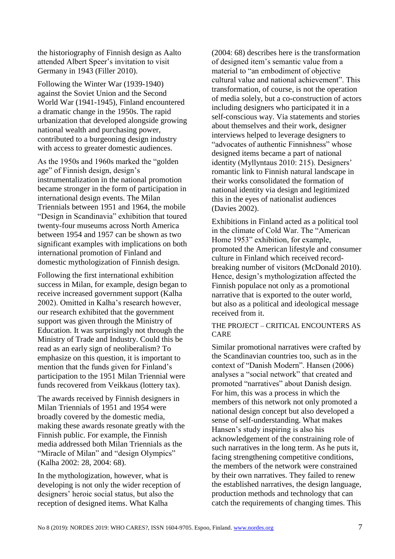the historiography of Finnish design as Aalto attended Albert Speer's invitation to visit Germany in 1943 (Filler 2010).

Following the Winter War (1939-1940) against the Soviet Union and the Second World War (1941-1945), Finland encountered a dramatic change in the 1950s. The rapid urbanization that developed alongside growing national wealth and purchasing power, contributed to a burgeoning design industry with access to greater domestic audiences.

As the 1950s and 1960s marked the "golden age" of Finnish design, design's instrumentalization in the national promotion became stronger in the form of participation in international design events. The Milan Triennials between 1951 and 1964, the mobile "Design in Scandinavia" exhibition that toured twenty-four museums across North America between 1954 and 1957 can be shown as two significant examples with implications on both international promotion of Finland and domestic mythologization of Finnish design.

Following the first international exhibition success in Milan, for example, design began to receive increased government support (Kalha 2002). Omitted in Kalha's research however, our research exhibited that the government support was given through the Ministry of Education. It was surprisingly not through the Ministry of Trade and Industry. Could this be read as an early sign of neoliberalism? To emphasize on this question, it is important to mention that the funds given for Finland's participation to the 1951 Milan Triennial were funds recovered from Veikkaus (lottery tax).

The awards received by Finnish designers in Milan Triennials of 1951 and 1954 were broadly covered by the domestic media, making these awards resonate greatly with the Finnish public. For example, the Finnish media addressed both Milan Triennials as the "Miracle of Milan" and "design Olympics" (Kalha 2002: 28, 2004: 68).

In the mythologization, however, what is developing is not only the wider reception of designers' heroic social status, but also the reception of designed items. What Kalha

(2004: 68) describes here is the transformation of designed item's semantic value from a material to "an embodiment of objective cultural value and national achievement". This transformation, of course, is not the operation of media solely, but a co-construction of actors including designers who participated it in a self-conscious way. Via statements and stories about themselves and their work, designer interviews helped to leverage designers to "advocates of authentic Finnishness" whose designed items became a part of national identity (Myllyntaus 2010: 215). Designers' romantic link to Finnish natural landscape in their works consolidated the formation of national identity via design and legitimized this in the eyes of nationalist audiences (Davies 2002).

Exhibitions in Finland acted as a political tool in the climate of Cold War. The "American Home 1953" exhibition, for example, promoted the American lifestyle and consumer culture in Finland which received recordbreaking number of visitors (McDonald 2010). Hence, design's mythologization affected the Finnish populace not only as a promotional narrative that is exported to the outer world, but also as a political and ideological message received from it.

### THE PROJECT – CRITICAL ENCOUNTERS AS CARE

Similar promotional narratives were crafted by the Scandinavian countries too, such as in the context of "Danish Modern". Hansen (2006) analyses a "social network" that created and promoted "narratives" about Danish design. For him, this was a process in which the members of this network not only promoted a national design concept but also developed a sense of self-understanding. What makes Hansen's study inspiring is also his acknowledgement of the constraining role of such narratives in the long term. As he puts it, facing strengthening competitive conditions, the members of the network were constrained by their own narratives. They failed to renew the established narratives, the design language, production methods and technology that can catch the requirements of changing times. This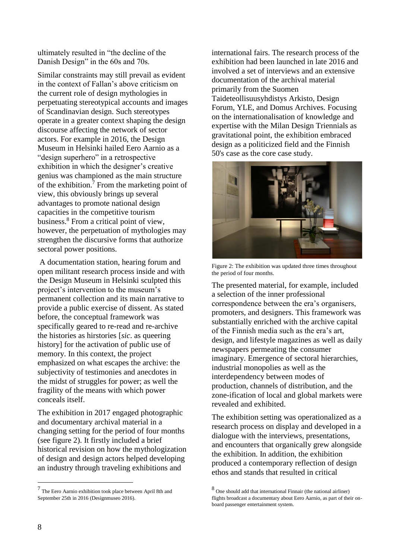ultimately resulted in "the decline of the Danish Design" in the 60s and 70s.

Similar constraints may still prevail as evident in the context of Fallan's above criticism on the current role of design mythologies in perpetuating stereotypical accounts and images of Scandinavian design. Such stereotypes operate in a greater context shaping the design discourse affecting the network of sector actors. For example in 2016, the Design Museum in Helsinki hailed Eero Aarnio as a "design superhero" in a retrospective exhibition in which the designer's creative genius was championed as the main structure of the exhibition.<sup>7</sup> From the marketing point of view, this obviously brings up several advantages to promote national design capacities in the competitive tourism business.<sup>8</sup> From a critical point of view, however, the perpetuation of mythologies may strengthen the discursive forms that authorize sectoral power positions.

A documentation station, hearing forum and open militant research process inside and with the Design Museum in Helsinki sculpted this project's intervention to the museum's permanent collection and its main narrative to provide a public exercise of dissent. As stated before, the conceptual framework was specifically geared to re-read and re-archive the histories as hirstories [*sic*. as queering history] for the activation of public use of memory. In this context, the project emphasized on what escapes the archive: the subjectivity of testimonies and anecdotes in the midst of struggles for power; as well the fragility of the means with which power conceals itself.

The exhibition in 2017 engaged photographic and documentary archival material in a changing setting for the period of four months (see figure 2). It firstly included a brief historical revision on how the mythologization of design and design actors helped developing an industry through traveling exhibitions and

international fairs. The research process of the exhibition had been launched in late 2016 and involved a set of interviews and an extensive documentation of the archival material primarily from the Suomen Taideteollisuusyhdistys Arkisto, Design Forum, YLE, and Domus Archives. Focusing on the internationalisation of knowledge and expertise with the Milan Design Triennials as gravitational point, the exhibition embraced design as a politicized field and the Finnish 50's case as the core case study.



Figure 2: The exhibition was updated three times throughout the period of four months.

The presented material, for example, included a selection of the inner professional correspondence between the era's organisers, promoters, and designers. This framework was substantially enriched with the archive capital of the Finnish media such as the era's art, design, and lifestyle magazines as well as daily newspapers permeating the consumer imaginary. Emergence of sectoral hierarchies, industrial monopolies as well as the interdependency between modes of production, channels of distribution, and the zone-ification of local and global markets were revealed and exhibited.

The exhibition setting was operationalized as a research process on display and developed in a dialogue with the interviews, presentations, and encounters that organically grew alongside the exhibition. In addition, the exhibition produced a contemporary reflection of design ethos and stands that resulted in critical

<sup>7</sup> The Eero Aarnio exhibition took place between April 8th and September 25th in 2016 (Designmuseo 2016).

<sup>8</sup> One should add that international Finnair (the national airliner) flights broadcast a documentary about Eero Aarnio, as part of their onboard passenger entertainment system.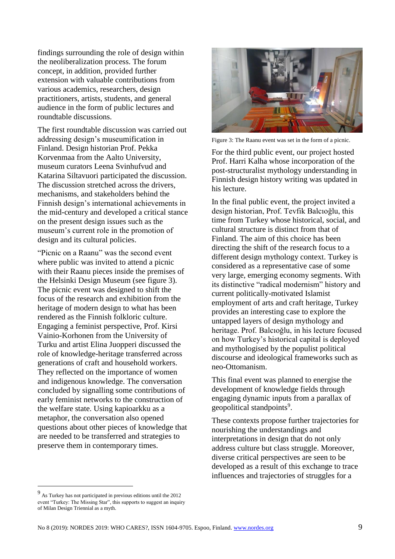findings surrounding the role of design within the neoliberalization process. The forum concept, in addition, provided further extension with valuable contributions from various academics, researchers, design practitioners, artists, students, and general audience in the form of public lectures and roundtable discussions.

The first roundtable discussion was carried out addressing design's museumification in Finland. Design historian Prof. Pekka Korvenmaa from the Aalto University, museum curators Leena Svinhufvud and Katarina Siltavuori participated the discussion. The discussion stretched across the drivers, mechanisms, and stakeholders behind the Finnish design's international achievements in the mid-century and developed a critical stance on the present design issues such as the museum's current role in the promotion of design and its cultural policies.

"Picnic on a Raanu" was the second event where public was invited to attend a picnic with their Raanu pieces inside the premises of the Helsinki Design Museum (see figure 3). The picnic event was designed to shift the focus of the research and exhibition from the heritage of modern design to what has been rendered as the Finnish folkloric culture. Engaging a feminist perspective, Prof. Kirsi Vainio-Korhonen from the University of Turku and artist Elina Juopperi discussed the role of knowledge-heritage transferred across generations of craft and household workers. They reflected on the importance of women and indigenous knowledge. The conversation concluded by signalling some contributions of early feminist networks to the construction of the welfare state. Using kapioarkku as a metaphor, the conversation also opened questions about other pieces of knowledge that are needed to be transferred and strategies to preserve them in contemporary times.



Figure 3: The Raanu event was set in the form of a picnic.

For the third public event, our project hosted Prof. Harri Kalha whose incorporation of the post-structuralist mythology understanding in Finnish design history writing was updated in his lecture.

In the final public event, the project invited a design historian, Prof. Tevfik Balcıoğlu, this time from Turkey whose historical, social, and cultural structure is distinct from that of Finland. The aim of this choice has been directing the shift of the research focus to a different design mythology context. Turkey is considered as a representative case of some very large, emerging economy segments. With its distinctive "radical modernism" history and current politically-motivated Islamist employment of arts and craft heritage, Turkey provides an interesting case to explore the untapped layers of design mythology and heritage. Prof. Balcıoğlu, in his lecture focused on how Turkey's historical capital is deployed and mythologised by the populist political discourse and ideological frameworks such as neo-Ottomanism.

This final event was planned to energise the development of knowledge fields through engaging dynamic inputs from a parallax of geopolitical standpoints<sup>9</sup>.

These contexts propose further trajectories for nourishing the understandings and interpretations in design that do not only address culture but class struggle. Moreover, diverse critical perspectives are seen to be developed as a result of this exchange to trace influences and trajectories of struggles for a

<sup>9</sup> As Turkey has not participated in previous editions until the 2012 event "Turkey: The Missing Star", this supports to suggest an inquiry of Milan Design Triennial as a myth.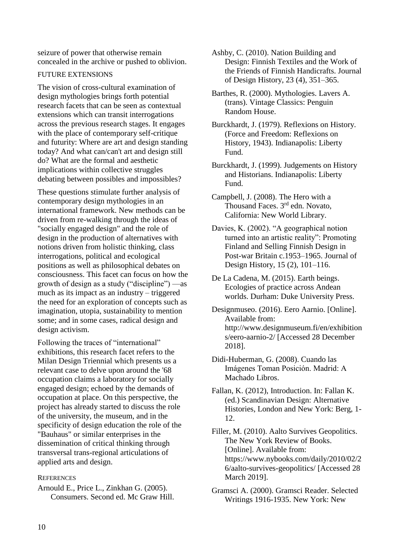seizure of power that otherwise remain concealed in the archive or pushed to oblivion.

#### FUTURE EXTENSIONS

The vision of cross-cultural examination of design mythologies brings forth potential research facets that can be seen as contextual extensions which can transit interrogations across the previous research stages. It engages with the place of contemporary self-critique and futurity: Where are art and design standing today? And what can/can't art and design still do? What are the formal and aesthetic implications within collective struggles debating between possibles and impossibles?

These questions stimulate further analysis of contemporary design mythologies in an international framework. New methods can be driven from re-walking through the ideas of "socially engaged design" and the role of design in the production of alternatives with notions driven from holistic thinking, class interrogations, political and ecological positions as well as philosophical debates on consciousness. This facet can focus on how the growth of design as a study ("discipline") —as much as its impact as an industry – triggered the need for an exploration of concepts such as imagination, utopia, sustainability to mention some; and in some cases, radical design and design activism.

Following the traces of "international" exhibitions, this research facet refers to the Milan Design Triennial which presents us a relevant case to delve upon around the '68 occupation claims a laboratory for socially engaged design; echoed by the demands of occupation at place. On this perspective, the project has already started to discuss the role of the university, the museum, and in the specificity of design education the role of the "Bauhaus" or similar enterprises in the dissemination of critical thinking through transversal trans-regional articulations of applied arts and design.

#### **REFERENCES**

Arnould E., Price L., Zinkhan G. (2005). Consumers. Second ed. Mc Graw Hill. Ashby, C. (2010). Nation Building and Design: Finnish Textiles and the Work of the Friends of Finnish Handicrafts. Journal of Design History, 23 (4), 351–365.

Barthes, R. (2000). Mythologies. Lavers A. (trans). Vintage Classics: Penguin Random House.

Burckhardt, J. (1979). Reflexions on History. (Force and Freedom: Reflexions on History, 1943). Indianapolis: Liberty Fund.

Burckhardt, J. (1999). Judgements on History and Historians. Indianapolis: Liberty Fund.

Campbell, J. (2008). The Hero with a Thousand Faces. 3<sup>rd</sup> edn. Novato, California: New World Library.

Davies, K. (2002). "A geographical notion turned into an artistic reality": Promoting Finland and Selling Finnish Design in Post-war Britain c.1953–1965. Journal of Design History, 15 (2), 101–116.

De La Cadena, M. (2015). Earth beings. Ecologies of practice across Andean worlds. Durham: Duke University Press.

Designmuseo. (2016). Eero Aarnio. [Online]. Available from: http://www.designmuseum.fi/en/exhibition s/eero-aarnio-2/ [Accessed 28 December 2018].

Didi-Huberman, G. (2008). Cuando las Imágenes Toman Posición. Madrid: A Machado Libros.

Fallan, K. (2012), Introduction. In: Fallan K. (ed.) Scandinavian Design: Alternative Histories, London and New York: Berg, 1- 12.

Filler, M. (2010). Aalto Survives Geopolitics. The New York Review of Books. [Online]. Available from: https://www.nybooks.com/daily/2010/02/2 6/aalto-survives-geopolitics/ [Accessed 28 March 2019].

Gramsci A. (2000). Gramsci Reader. Selected Writings 1916-1935. New York: New